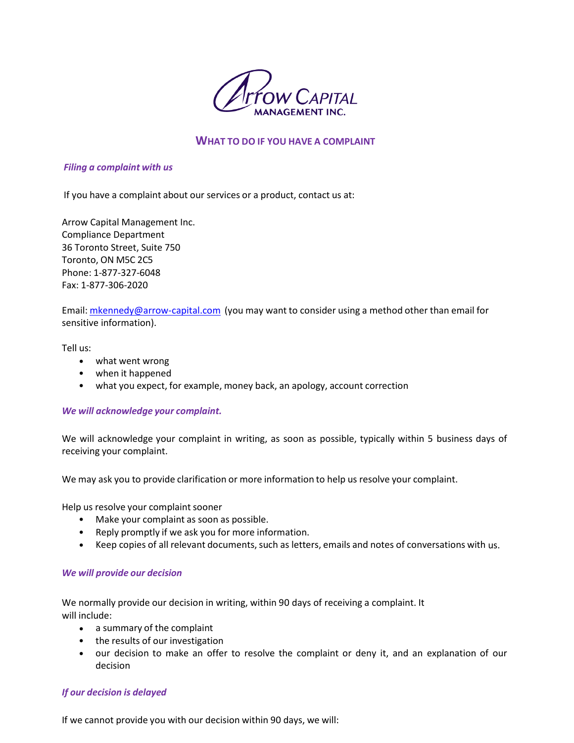

# **WHAT TO DO IF YOU HAVE A COMPLAINT**

#### *Filing a complaint with us*

If you have a complaint about our services or a product, contact us at:

Arrow Capital Management Inc. Compliance Department 36 Toronto Street, Suite 750 Toronto, ON M5C 2C5 Phone: 1-877-327-6048 Fax: 1-877-306-2020

Email: [mkennedy@arrow-capital.com](mailto:mkennedy@arrow-capital.com) (you may want to consider using a method other than email for sensitive information).

Tell us:

- what went wrong
- when it happened
- what you expect, for example, money back, an apology, account correction

## *We will acknowledge your complaint.*

We will acknowledge your complaint in writing, as soon as possible, typically within 5 business days of receiving your complaint.

We may ask you to provide clarification or more information to help us resolve your complaint.

Help us resolve your complaint sooner

- Make your complaint as soon as possible.
- Reply promptly if we ask you for more information.
- Keep copies of all relevant documents, such as letters, emails and notes of conversations with us.

## *We will provide our decision*

We normally provide our decision in writing, within 90 days of receiving a complaint. It will include:

- a summary of the complaint
- the results of our investigation
- our decision to make an offer to resolve the complaint or deny it, and an explanation of our decision

## *If our decision is delayed*

If we cannot provide you with our decision within 90 days, we will: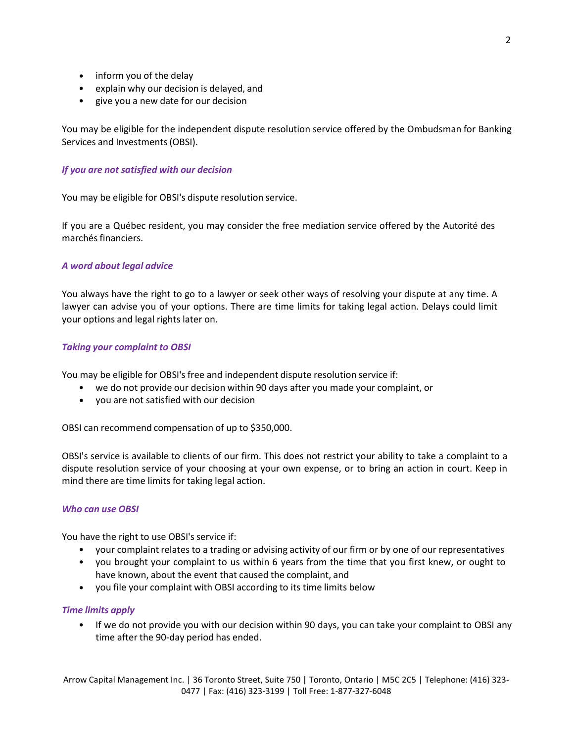- inform you of the delay
- explain why our decision is delayed, and
- give you a new date for our decision

You may be eligible for the independent dispute resolution service offered by the Ombudsman for Banking Services and Investments(OBSI).

#### *If you are not satisfied with our decision*

You may be eligible for OBSI's dispute resolution service.

If you are a Québec resident, you may consider the free mediation service offered by the Autorité des marchés financiers.

## *A word about legal advice*

You always have the right to go to a lawyer or seek other ways of resolving your dispute at any time. A lawyer can advise you of your options. There are time limits for taking legal action. Delays could limit your options and legal rights later on.

## *Taking your complaint to OBSI*

You may be eligible for OBSI's free and independent dispute resolution service if:

- we do not provide our decision within 90 days after you made your complaint, or
- you are not satisfied with our decision

OBSI can recommend compensation of up to \$350,000.

OBSI's service is available to clients of our firm. This does not restrict your ability to take a complaint to a dispute resolution service of your choosing at your own expense, or to bring an action in court. Keep in mind there are time limits for taking legal action.

## *Who can use OBSI*

You have the right to use OBSI's service if:

- your complaint relates to a trading or advising activity of our firm or by one of our representatives
- you brought your complaint to us within 6 years from the time that you first knew, or ought to have known, about the event that caused the complaint, and
- you file your complaint with OBSI according to its time limits below

## *Time limits apply*

• If we do not provide you with our decision within 90 days, you can take your complaint to OBSI any time after the 90-day period has ended.

Arrow Capital Management Inc. | 36 Toronto Street, Suite 750 | Toronto, Ontario | M5C 2C5 | Telephone: (416) 323- 0477 | Fax: (416) 323-3199 | Toll Free: 1-877-327-6048